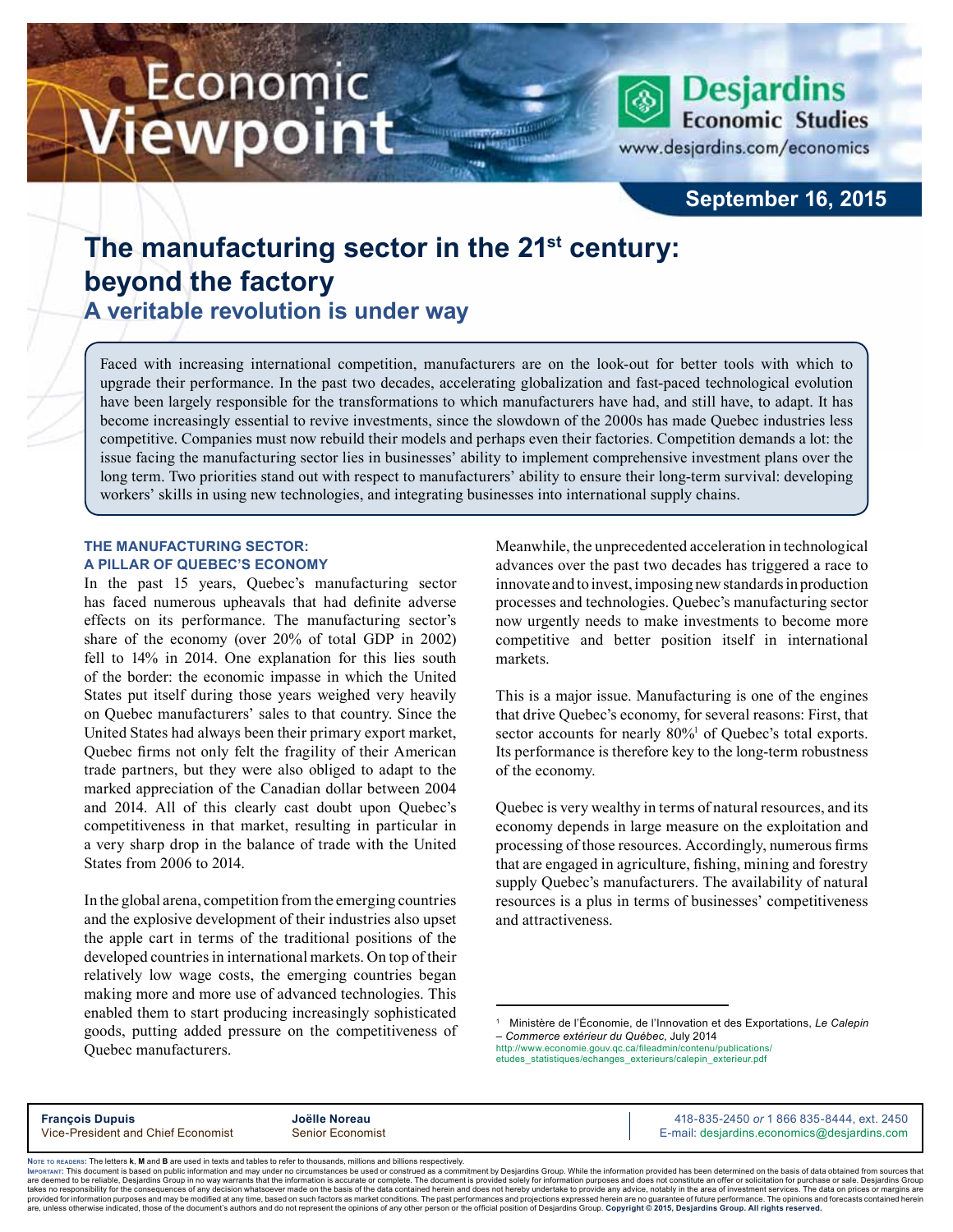# Economic iewpoint



www.desjardins.com/economics

# **September 16, 2015**

# **The manufacturing sector in the 21st century: beyond the factory**

**A veritable revolution is under way**

Faced with increasing international competition, manufacturers are on the look-out for better tools with which to upgrade their performance. In the past two decades, accelerating globalization and fast-paced technological evolution have been largely responsible for the transformations to which manufacturers have had, and still have, to adapt. It has become increasingly essential to revive investments, since the slowdown of the 2000s has made Quebec industries less competitive. Companies must now rebuild their models and perhaps even their factories. Competition demands a lot: the issue facing the manufacturing sector lies in businesses' ability to implement comprehensive investment plans over the long term. Two priorities stand out with respect to manufacturers' ability to ensure their long-term survival: developing workers' skills in using new technologies, and integrating businesses into international supply chains.

# **The manufacturing sector: a pillar of Quebec's economy**

In the past 15 years, Quebec's manufacturing sector has faced numerous upheavals that had definite adverse effects on its performance. The manufacturing sector's share of the economy (over 20% of total GDP in 2002) fell to 14% in 2014. One explanation for this lies south of the border: the economic impasse in which the United States put itself during those years weighed very heavily on Quebec manufacturers' sales to that country. Since the United States had always been their primary export market, Quebec firms not only felt the fragility of their American trade partners, but they were also obliged to adapt to the marked appreciation of the Canadian dollar between 2004 and 2014. All of this clearly cast doubt upon Quebec's competitiveness in that market, resulting in particular in a very sharp drop in the balance of trade with the United States from 2006 to 2014.

In the global arena, competition from the emerging countries and the explosive development of their industries also upset the apple cart in terms of the traditional positions of the developed countries in international markets. On top of their relatively low wage costs, the emerging countries began making more and more use of advanced technologies. This enabled them to start producing increasingly sophisticated goods, putting added pressure on the competitiveness of Quebec manufacturers.

Meanwhile, the unprecedented acceleration in technological advances over the past two decades has triggered a race to innovate and to invest, imposing new standards in production processes and technologies. Quebec's manufacturing sector now urgently needs to make investments to become more competitive and better position itself in international markets.

This is a major issue. Manufacturing is one of the engines that drive Quebec's economy, for several reasons: First, that sector accounts for nearly 80%<sup>1</sup> of Quebec's total exports. Its performance is therefore key to the long-term robustness of the economy.

Quebec is very wealthy in terms of natural resources, and its economy depends in large measure on the exploitation and processing of those resources. Accordingly, numerous firms that are engaged in agriculture, fishing, mining and forestry supply Quebec's manufacturers. The availability of natural resources is a plus in terms of businesses' competitiveness and attractiveness.

1 Ministère de l'Économie, de l'Innovation et des Exportations, *Le Calepin – Commerce extérieur du Québec*, July 2014

http://www.economie.gouv.qc.ca/fileadmin/contenu/publications/ etudes\_statistiques/echanges\_exterieurs/calepin\_exterieur.pdf

**François Dupuis Joëlle Noreau 418-835-2450 or** 1 866 835-8444, ext. 2450<br>Vice-President and Chief Economist Senior Economist **Senior According Community Community** E-mail: desiardins.cconomics@desiardins.com E-mail: desjardins.economics@desjardins.com

Noте то келоекs: The letters **k, M** and **B** are used in texts and tables to refer to thousands, millions and billions respectively.<br>Імроктлит: This document is based on public information and may under no circumstances be are deemed to be reliable. Desiardins Group in no way warrants that the information is accurate or complete. The document is provided solely for information purposes and does not constitute an offer or solicitation for pur takes no responsibility for the consequences of any decision whatsoever made on the basis of the data contained herein and does not hereby undertake to provide any advice, notably in the area of investment services. The da .<br>are, unless otherwise indicated, those of the document's authors and do not represent the opinions of any other person or the official position of Desjardins Group. Copyright © 2015, Desjardins Group. All rights reserved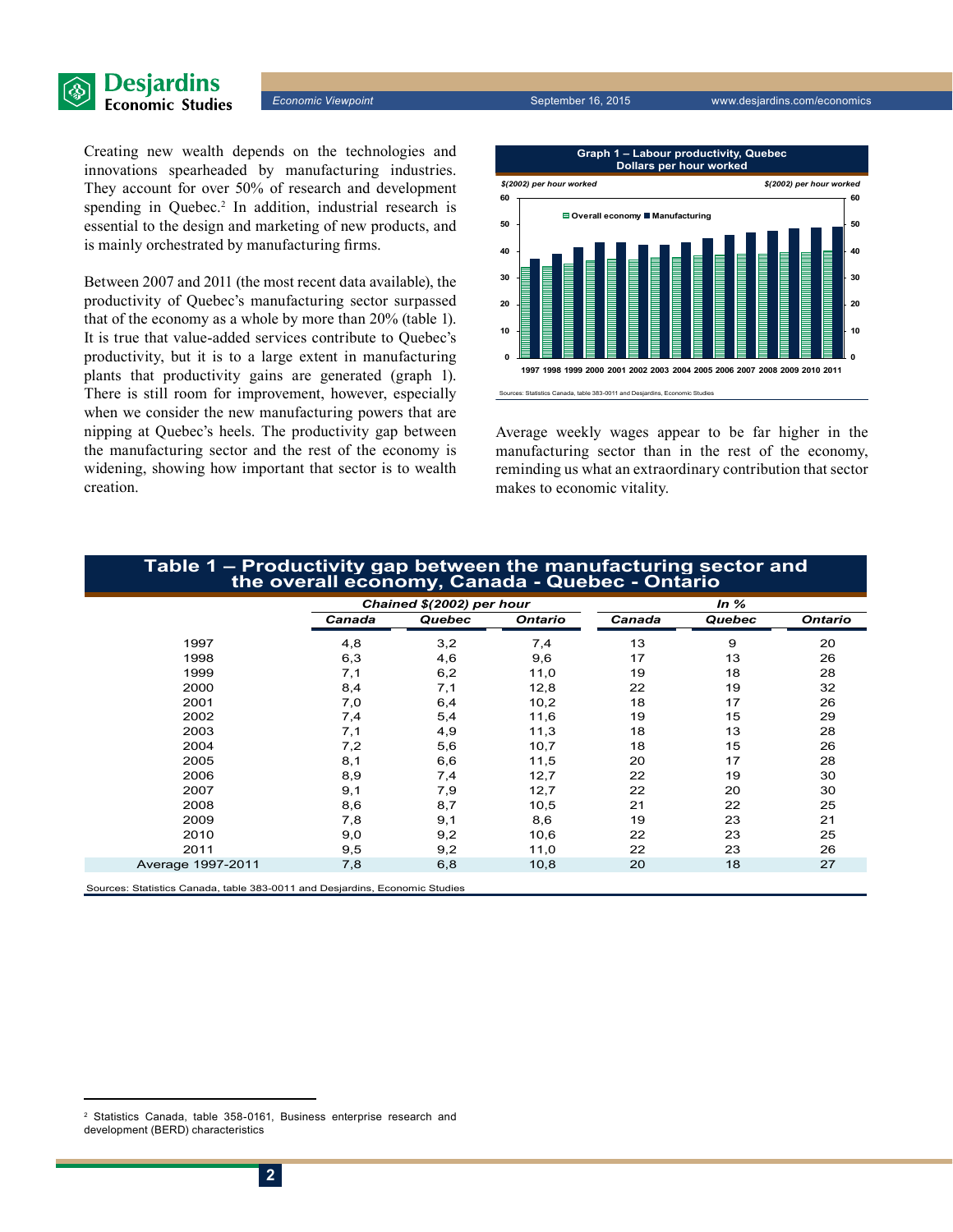

Creating new wealth depends on the technologies and innovations spearheaded by manufacturing industries. They account for over 50% of research and development spending in Quebec.<sup>2</sup> In addition, industrial research is essential to the design and marketing of new products, and is mainly orchestrated by manufacturing firms.

Between 2007 and 2011 (the most recent data available), the productivity of Quebec's manufacturing sector surpassed that of the economy as a whole by more than 20% (table 1). It is true that value-added services contribute to Quebec's productivity, but it is to a large extent in manufacturing plants that productivity gains are generated (graph 1). There is still room for improvement, however, especially when we consider the new manufacturing powers that are nipping at Quebec's heels. The productivity gap between the manufacturing sector and the rest of the economy is widening, showing how important that sector is to wealth creation.



Average weekly wages appear to be far higher in the manufacturing sector than in the rest of the economy, reminding us what an extraordinary contribution that sector makes to economic vitality.

# **Table 1 – Productivity gap between the manufacturing sector and the overall economy, Canada - Quebec - Ontario**

|                                                                             | Chained \$(2002) per hour |        |                | In $%$ |        |                |
|-----------------------------------------------------------------------------|---------------------------|--------|----------------|--------|--------|----------------|
|                                                                             | Canada                    | Quebec | <b>Ontario</b> | Canada | Quebec | <b>Ontario</b> |
| 1997                                                                        | 4,8                       | 3,2    | 7,4            | 13     | 9      | 20             |
| 1998                                                                        | 6,3                       | 4,6    | 9,6            | 17     | 13     | 26             |
| 1999                                                                        | 7,1                       | 6,2    | 11,0           | 19     | 18     | 28             |
| 2000                                                                        | 8,4                       | 7,1    | 12,8           | 22     | 19     | 32             |
| 2001                                                                        | 7,0                       | 6,4    | 10,2           | 18     | 17     | 26             |
| 2002                                                                        | 7,4                       | 5,4    | 11,6           | 19     | 15     | 29             |
| 2003                                                                        | 7,1                       | 4,9    | 11,3           | 18     | 13     | 28             |
| 2004                                                                        | 7,2                       | 5,6    | 10,7           | 18     | 15     | 26             |
| 2005                                                                        | 8,1                       | 6,6    | 11,5           | 20     | 17     | 28             |
| 2006                                                                        | 8,9                       | 7,4    | 12,7           | 22     | 19     | 30             |
| 2007                                                                        | 9,1                       | 7,9    | 12,7           | 22     | 20     | 30             |
| 2008                                                                        | 8,6                       | 8,7    | 10,5           | 21     | 22     | 25             |
| 2009                                                                        | 7,8                       | 9,1    | 8,6            | 19     | 23     | 21             |
| 2010                                                                        | 9,0                       | 9,2    | 10,6           | 22     | 23     | 25             |
| 2011                                                                        | 9,5                       | 9,2    | 11,0           | 22     | 23     | 26             |
| Average 1997-2011                                                           | 7,8                       | 6,8    | 10,8           | 20     | 18     | 27             |
| Sources: Statistics Canada, table 383-0011 and Desjardins, Economic Studies |                           |        |                |        |        |                |

<sup>2</sup> Statistics Canada, table 358-0161, Business enterprise research and development (BERD) characteristics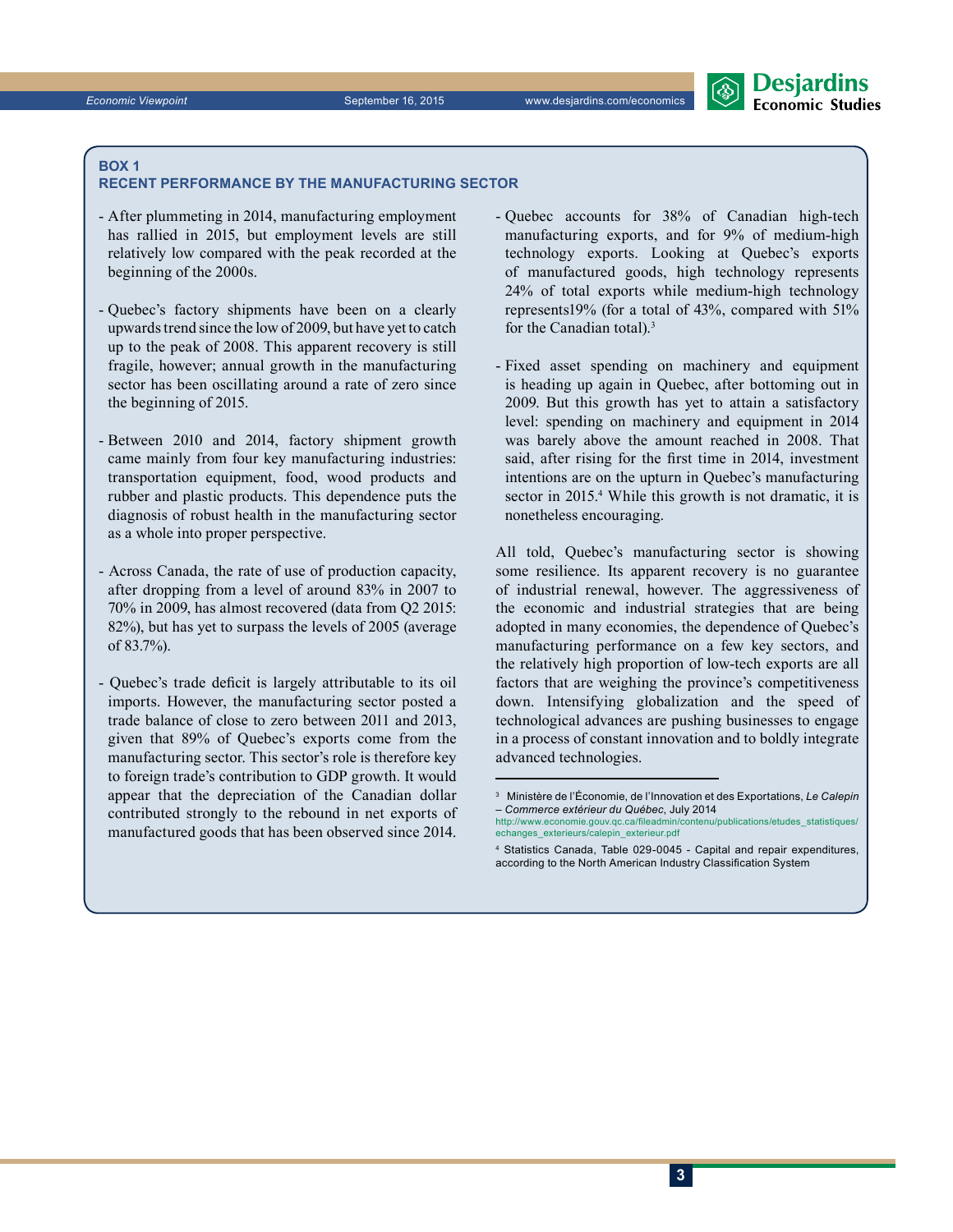### **box 1**

#### **recent performance by the manufacturing sector**

- After plummeting in 2014, manufacturing employment has rallied in 2015, but employment levels are still relatively low compared with the peak recorded at the beginning of the 2000s.
- Quebec's factory shipments have been on a clearly upwards trend since the low of 2009, but have yet to catch up to the peak of 2008. This apparent recovery is still fragile, however; annual growth in the manufacturing sector has been oscillating around a rate of zero since the beginning of 2015.
- Between 2010 and 2014, factory shipment growth came mainly from four key manufacturing industries: transportation equipment, food, wood products and rubber and plastic products. This dependence puts the diagnosis of robust health in the manufacturing sector as a whole into proper perspective.
- Across Canada, the rate of use of production capacity, after dropping from a level of around 83% in 2007 to 70% in 2009, has almost recovered (data from Q2 2015: 82%), but has yet to surpass the levels of 2005 (average of 83.7%).
- Quebec's trade deficit is largely attributable to its oil imports. However, the manufacturing sector posted a trade balance of close to zero between 2011 and 2013, given that 89% of Quebec's exports come from the manufacturing sector. This sector's role is therefore key to foreign trade's contribution to GDP growth. It would appear that the depreciation of the Canadian dollar contributed strongly to the rebound in net exports of manufactured goods that has been observed since 2014.
- Quebec accounts for 38% of Canadian high-tech manufacturing exports, and for 9% of medium-high technology exports. Looking at Quebec's exports of manufactured goods, high technology represents 24% of total exports while medium-high technology represents19% (for a total of 43%, compared with 51% for the Canadian total).3
- Fixed asset spending on machinery and equipment is heading up again in Quebec, after bottoming out in 2009. But this growth has yet to attain a satisfactory level: spending on machinery and equipment in 2014 was barely above the amount reached in 2008. That said, after rising for the first time in 2014, investment intentions are on the upturn in Quebec's manufacturing sector in 2015.<sup>4</sup> While this growth is not dramatic, it is nonetheless encouraging.

All told, Quebec's manufacturing sector is showing some resilience. Its apparent recovery is no guarantee of industrial renewal, however. The aggressiveness of the economic and industrial strategies that are being adopted in many economies, the dependence of Quebec's manufacturing performance on a few key sectors, and the relatively high proportion of low-tech exports are all factors that are weighing the province's competitiveness down. Intensifying globalization and the speed of technological advances are pushing businesses to engage in a process of constant innovation and to boldly integrate advanced technologies.

<sup>3</sup> Ministère de l'Économie, de l'Innovation et des Exportations, *Le Calepin – Commerce extérieur du Québec*, July 2014 http://www.economie.gouv.qc.ca/fileadmin/contentum

echanges\_exterieurs/calepin\_exterieur.pdf 4 Statistics Canada, Table 029-0045 - Capital and repair expenditures,

according to the North American Industry Classification System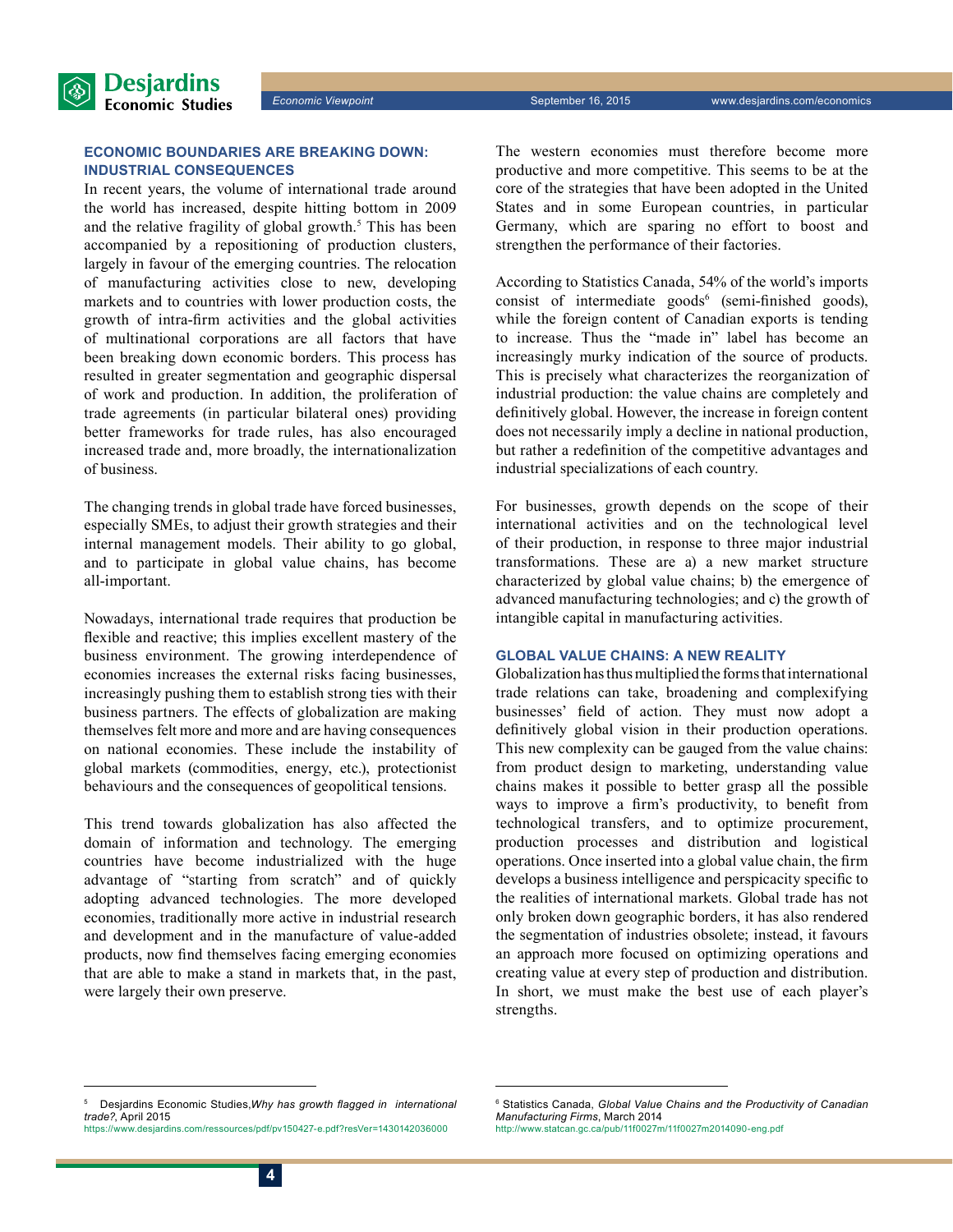

# **Economic boundaries are breaking down: industrial consequences**

In recent years, the volume of international trade around the world has increased, despite hitting bottom in 2009 and the relative fragility of global growth.<sup>5</sup> This has been accompanied by a repositioning of production clusters, largely in favour of the emerging countries. The relocation of manufacturing activities close to new, developing markets and to countries with lower production costs, the growth of intra-firm activities and the global activities of multinational corporations are all factors that have been breaking down economic borders. This process has resulted in greater segmentation and geographic dispersal of work and production. In addition, the proliferation of trade agreements (in particular bilateral ones) providing better frameworks for trade rules, has also encouraged increased trade and, more broadly, the internationalization of business.

The changing trends in global trade have forced businesses, especially SMEs, to adjust their growth strategies and their internal management models. Their ability to go global, and to participate in global value chains, has become all-important.

Nowadays, international trade requires that production be flexible and reactive; this implies excellent mastery of the business environment. The growing interdependence of economies increases the external risks facing businesses, increasingly pushing them to establish strong ties with their business partners. The effects of globalization are making themselves felt more and more and are having consequences on national economies. These include the instability of global markets (commodities, energy, etc.), protectionist behaviours and the consequences of geopolitical tensions.

This trend towards globalization has also affected the domain of information and technology. The emerging countries have become industrialized with the huge advantage of "starting from scratch" and of quickly adopting advanced technologies. The more developed economies, traditionally more active in industrial research and development and in the manufacture of value-added products, now find themselves facing emerging economies that are able to make a stand in markets that, in the past, were largely their own preserve.

The western economies must therefore become more productive and more competitive. This seems to be at the core of the strategies that have been adopted in the United States and in some European countries, in particular Germany, which are sparing no effort to boost and strengthen the performance of their factories.

According to Statistics Canada, 54% of the world's imports consist of intermediate goods<sup>6</sup> (semi-finished goods), while the foreign content of Canadian exports is tending to increase. Thus the "made in" label has become an increasingly murky indication of the source of products. This is precisely what characterizes the reorganization of industrial production: the value chains are completely and definitively global. However, the increase in foreign content does not necessarily imply a decline in national production, but rather a redefinition of the competitive advantages and industrial specializations of each country.

For businesses, growth depends on the scope of their international activities and on the technological level of their production, in response to three major industrial transformations. These are a) a new market structure characterized by global value chains; b) the emergence of advanced manufacturing technologies; and c) the growth of intangible capital in manufacturing activities.

# **Global value chains: a new reality**

Globalization has thus multiplied the forms that international trade relations can take, broadening and complexifying businesses' field of action. They must now adopt a definitively global vision in their production operations. This new complexity can be gauged from the value chains: from product design to marketing, understanding value chains makes it possible to better grasp all the possible ways to improve a firm's productivity, to benefit from technological transfers, and to optimize procurement, production processes and distribution and logistical operations. Once inserted into a global value chain, the firm develops a business intelligence and perspicacity specific to the realities of international markets. Global trade has not only broken down geographic borders, it has also rendered the segmentation of industries obsolete; instead, it favours an approach more focused on optimizing operations and creating value at every step of production and distribution. In short, we must make the best use of each player's strengths.

<sup>5</sup> Desjardins Economic Studies,*Why has growth flagged in international trade?*, April 2015 https://www.desjardins.com/ressources/pdf/pv150427-e.pdf?resVer=1430142036000

<sup>6</sup> Statistics Canada, *Global Value Chains and the Productivity of Canadian Manufacturing Firms*, March 2014 http://www.statcan.gc.ca/pub/11f0027m/11f0027m2014090-eng.pdf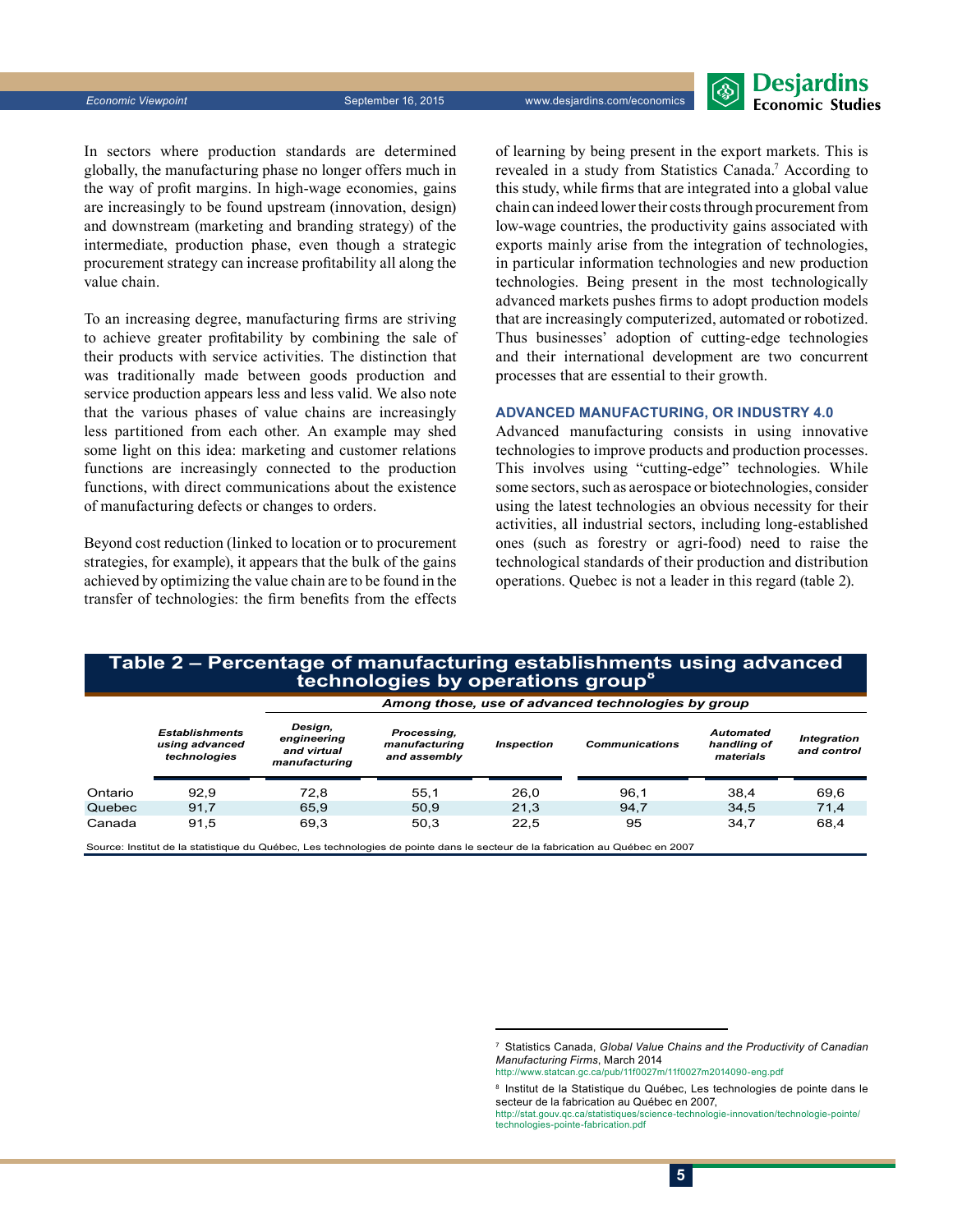

In sectors where production standards are determined globally, the manufacturing phase no longer offers much in the way of profit margins. In high-wage economies, gains are increasingly to be found upstream (innovation, design) and downstream (marketing and branding strategy) of the intermediate, production phase, even though a strategic procurement strategy can increase profitability all along the value chain.

To an increasing degree, manufacturing firms are striving to achieve greater profitability by combining the sale of their products with service activities. The distinction that was traditionally made between goods production and service production appears less and less valid. We also note that the various phases of value chains are increasingly less partitioned from each other. An example may shed some light on this idea: marketing and customer relations functions are increasingly connected to the production functions, with direct communications about the existence of manufacturing defects or changes to orders.

Beyond cost reduction (linked to location or to procurement strategies, for example), it appears that the bulk of the gains achieved by optimizing the value chain are to be found in the transfer of technologies: the firm benefits from the effects of learning by being present in the export markets. This is revealed in a study from Statistics Canada.<sup>7</sup> According to this study, while firms that are integrated into a global value chain can indeed lower their costs through procurement from low-wage countries, the productivity gains associated with exports mainly arise from the integration of technologies, in particular information technologies and new production technologies. Being present in the most technologically advanced markets pushes firms to adopt production models that are increasingly computerized, automated or robotized. Thus businesses' adoption of cutting-edge technologies and their international development are two concurrent processes that are essential to their growth.

# **Advanced manufacturing, or Industry 4.0**

Advanced manufacturing consists in using innovative technologies to improve products and production processes. This involves using "cutting-edge" technologies. While some sectors, such as aerospace or biotechnologies, consider using the latest technologies an obvious necessity for their activities, all industrial sectors, including long-established ones (such as forestry or agri-food) need to raise the technological standards of their production and distribution operations. Quebec is not a leader in this regard (table 2).

# **Table 2 – Percentage of manufacturing establishments using advanced technologies by operations group<sup>8</sup>**

|         |                                                         | Among those, use of advanced technologies by group     |                                              |                   |                       |                                              |                                   |
|---------|---------------------------------------------------------|--------------------------------------------------------|----------------------------------------------|-------------------|-----------------------|----------------------------------------------|-----------------------------------|
|         | <b>Establishments</b><br>using advanced<br>technologies | Design,<br>engineering<br>and virtual<br>manufacturing | Processing,<br>manufacturing<br>and assembly | <b>Inspection</b> | <b>Communications</b> | <b>Automated</b><br>handling of<br>materials | <b>Integration</b><br>and control |
| Ontario | 92.9                                                    | 72.8                                                   | 55.1                                         | 26.0              | 96.1                  | 38.4                                         | 69,6                              |
| Quebec  | 91.7                                                    | 65.9                                                   | 50.9                                         | 21.3              | 94.7                  | 34.5                                         | 71,4                              |
| Canada  | 91.5                                                    | 69.3                                                   | 50.3                                         | 22.5              | 95                    | 34.7                                         | 68,4                              |
|         |                                                         |                                                        |                                              |                   |                       |                                              |                                   |

Source: Institut de la statistique du Québec, Les technologies de pointe dans le secteur de la fabrication au Québec en 2007

<sup>7</sup> Statistics Canada, *Global Value Chains and the Productivity of Canadian Manufacturing Firms*, March 2014

http://www.statcan.gc.ca/pub/11f0027m/11f0027m2014090-eng.pdf

<sup>&</sup>lt;sup>8</sup> Institut de la Statistique du Québec, Les technologies de pointe dans le secteur de la fabrication au Québec en 2007

http://stat.gouv.qc.ca/statistiques/science-technologie-innovation/technologie-pointe/ technologies-pointe-fabrication.pdf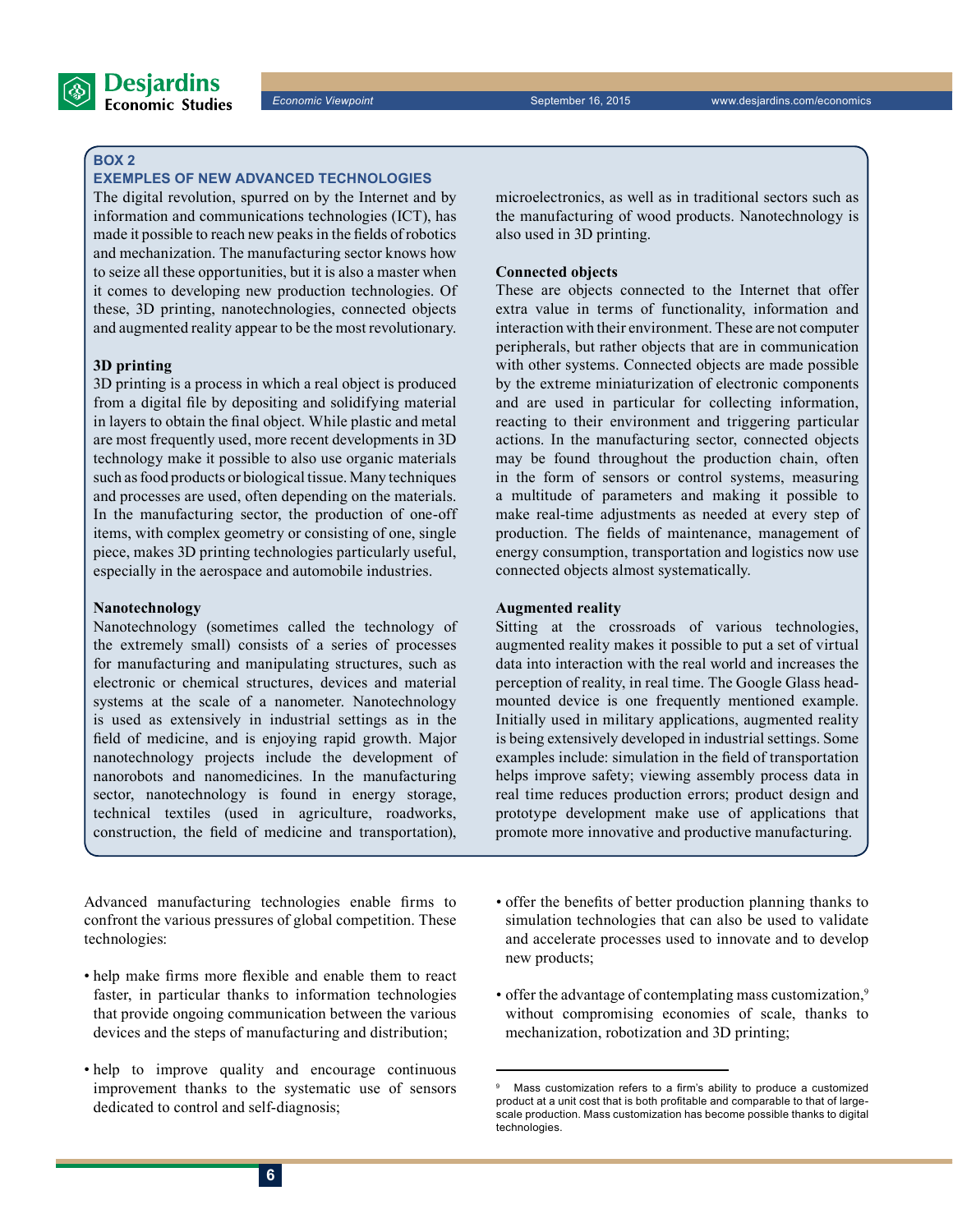

# **Box 2**

# **Exemples of new advanced technologies**

The digital revolution, spurred on by the Internet and by information and communications technologies (ICT), has made it possible to reach new peaks in the fields of robotics and mechanization. The manufacturing sector knows how to seize all these opportunities, but it is also a master when it comes to developing new production technologies. Of these, 3D printing, nanotechnologies, connected objects and augmented reality appear to be the most revolutionary.

# **3D printing**

3D printing is a process in which a real object is produced from a digital file by depositing and solidifying material in layers to obtain the final object. While plastic and metal are most frequently used, more recent developments in 3D technology make it possible to also use organic materials such as food products or biological tissue. Many techniques and processes are used, often depending on the materials. In the manufacturing sector, the production of one-off items, with complex geometry or consisting of one, single piece, makes 3D printing technologies particularly useful, especially in the aerospace and automobile industries.

# **Nanotechnology**

Nanotechnology (sometimes called the technology of the extremely small) consists of a series of processes for manufacturing and manipulating structures, such as electronic or chemical structures, devices and material systems at the scale of a nanometer. Nanotechnology is used as extensively in industrial settings as in the field of medicine, and is enjoying rapid growth. Major nanotechnology projects include the development of nanorobots and nanomedicines. In the manufacturing sector, nanotechnology is found in energy storage, technical textiles (used in agriculture, roadworks, construction, the field of medicine and transportation),

Advanced manufacturing technologies enable firms to confront the various pressures of global competition. These technologies:

- help make firms more flexible and enable them to react faster, in particular thanks to information technologies that provide ongoing communication between the various devices and the steps of manufacturing and distribution;
- help to improve quality and encourage continuous improvement thanks to the systematic use of sensors dedicated to control and self-diagnosis;

microelectronics, as well as in traditional sectors such as the manufacturing of wood products. Nanotechnology is also used in 3D printing.

## **Connected objects**

These are objects connected to the Internet that offer extra value in terms of functionality, information and interaction with their environment. These are not computer peripherals, but rather objects that are in communication with other systems. Connected objects are made possible by the extreme miniaturization of electronic components and are used in particular for collecting information, reacting to their environment and triggering particular actions. In the manufacturing sector, connected objects may be found throughout the production chain, often in the form of sensors or control systems, measuring a multitude of parameters and making it possible to make real-time adjustments as needed at every step of production. The fields of maintenance, management of energy consumption, transportation and logistics now use connected objects almost systematically.

# **Augmented reality**

Sitting at the crossroads of various technologies, augmented reality makes it possible to put a set of virtual data into interaction with the real world and increases the perception of reality, in real time. The Google Glass headmounted device is one frequently mentioned example. Initially used in military applications, augmented reality is being extensively developed in industrial settings. Some examples include: simulation in the field of transportation helps improve safety; viewing assembly process data in real time reduces production errors; product design and prototype development make use of applications that promote more innovative and productive manufacturing.

- offer the benefits of better production planning thanks to simulation technologies that can also be used to validate and accelerate processes used to innovate and to develop new products;
- offer the advantage of contemplating mass customization,<sup>9</sup> without compromising economies of scale, thanks to mechanization, robotization and 3D printing;

<sup>9</sup> Mass customization refers to a firm's ability to produce a customized product at a unit cost that is both profitable and comparable to that of largescale production. Mass customization has become possible thanks to digital technologies.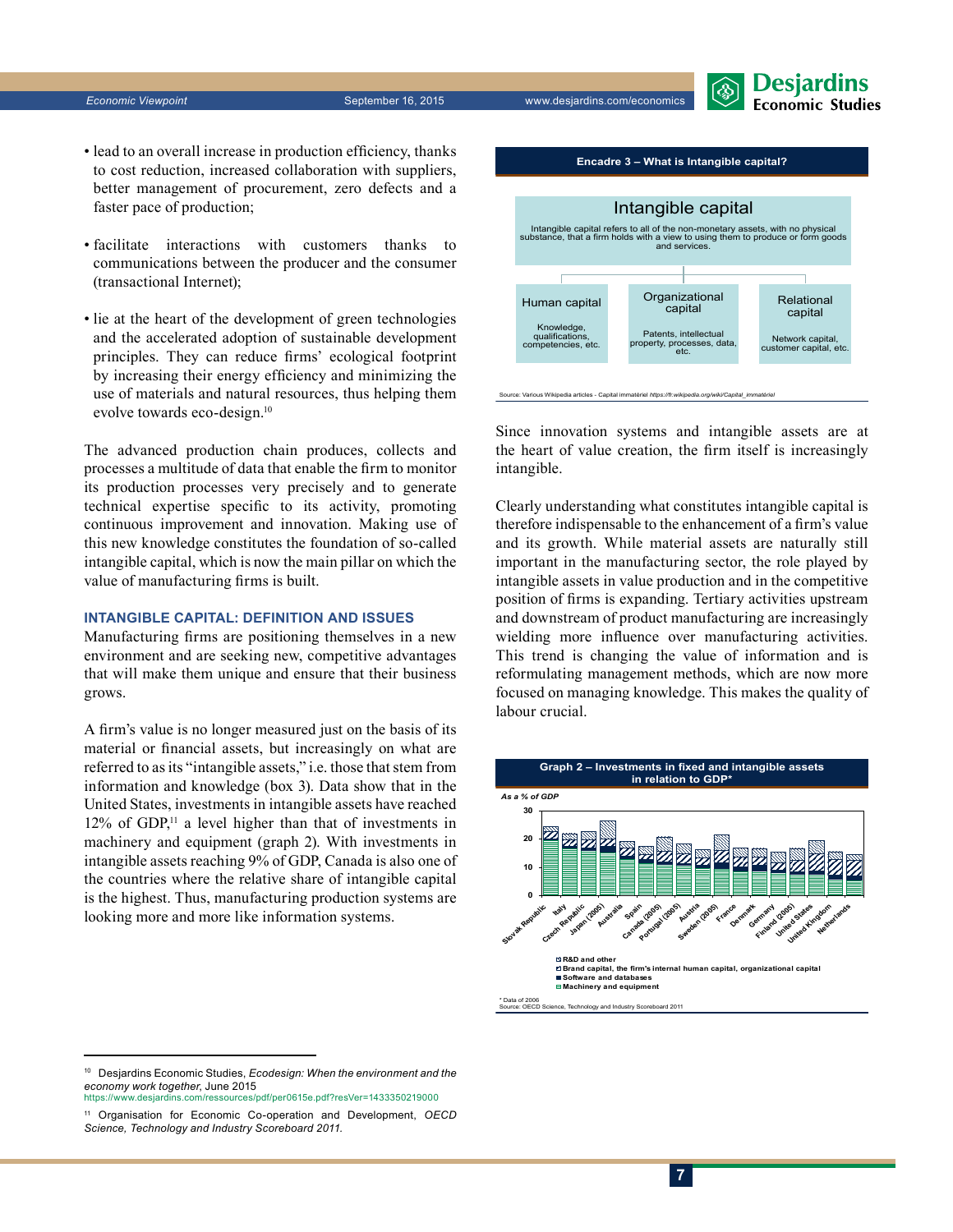

- lead to an overall increase in production efficiency, thanks to cost reduction, increased collaboration with suppliers, better management of procurement, zero defects and a faster pace of production;
- facilitate interactions with customers thanks to communications between the producer and the consumer (transactional Internet);
- lie at the heart of the development of green technologies and the accelerated adoption of sustainable development principles. They can reduce firms' ecological footprint by increasing their energy efficiency and minimizing the use of materials and natural resources, thus helping them evolve towards eco-design.10

The advanced production chain produces, collects and processes a multitude of data that enable the firm to monitor its production processes very precisely and to generate technical expertise specific to its activity, promoting continuous improvement and innovation. Making use of this new knowledge constitutes the foundation of so-called intangible capital, which is now the main pillar on which the value of manufacturing firms is built.

# **Intangible capital: definition and issues**

Manufacturing firms are positioning themselves in a new environment and are seeking new, competitive advantages that will make them unique and ensure that their business grows.

A firm's value is no longer measured just on the basis of its material or financial assets, but increasingly on what are referred to as its "intangible assets," i.e. those that stem from information and knowledge (box 3). Data show that in the United States, investments in intangible assets have reached  $12\%$  of GDP,<sup>11</sup> a level higher than that of investments in machinery and equipment (graph 2). With investments in intangible assets reaching 9% of GDP, Canada is also one of the countries where the relative share of intangible capital is the highest. Thus, manufacturing production systems are looking more and more like information systems.



Since innovation systems and intangible assets are at the heart of value creation, the firm itself is increasingly intangible.

Clearly understanding what constitutes intangible capital is therefore indispensable to the enhancement of a firm's value and its growth. While material assets are naturally still important in the manufacturing sector, the role played by intangible assets in value production and in the competitive position of firms is expanding. Tertiary activities upstream and downstream of product manufacturing are increasingly wielding more influence over manufacturing activities. This trend is changing the value of information and is reformulating management methods, which are now more focused on managing knowledge. This makes the quality of labour crucial.





<sup>10</sup> Desjardins Economic Studies, *Ecodesign: When the environment and the economy work together*, June 2015

https://www.desjardins.com/ressources/pdf/per0615e.pdf?resVer=1433350219000

<sup>11</sup> Organisation for Economic Co-operation and Development, *OECD Science, Technology and Industry Scoreboard 2011.*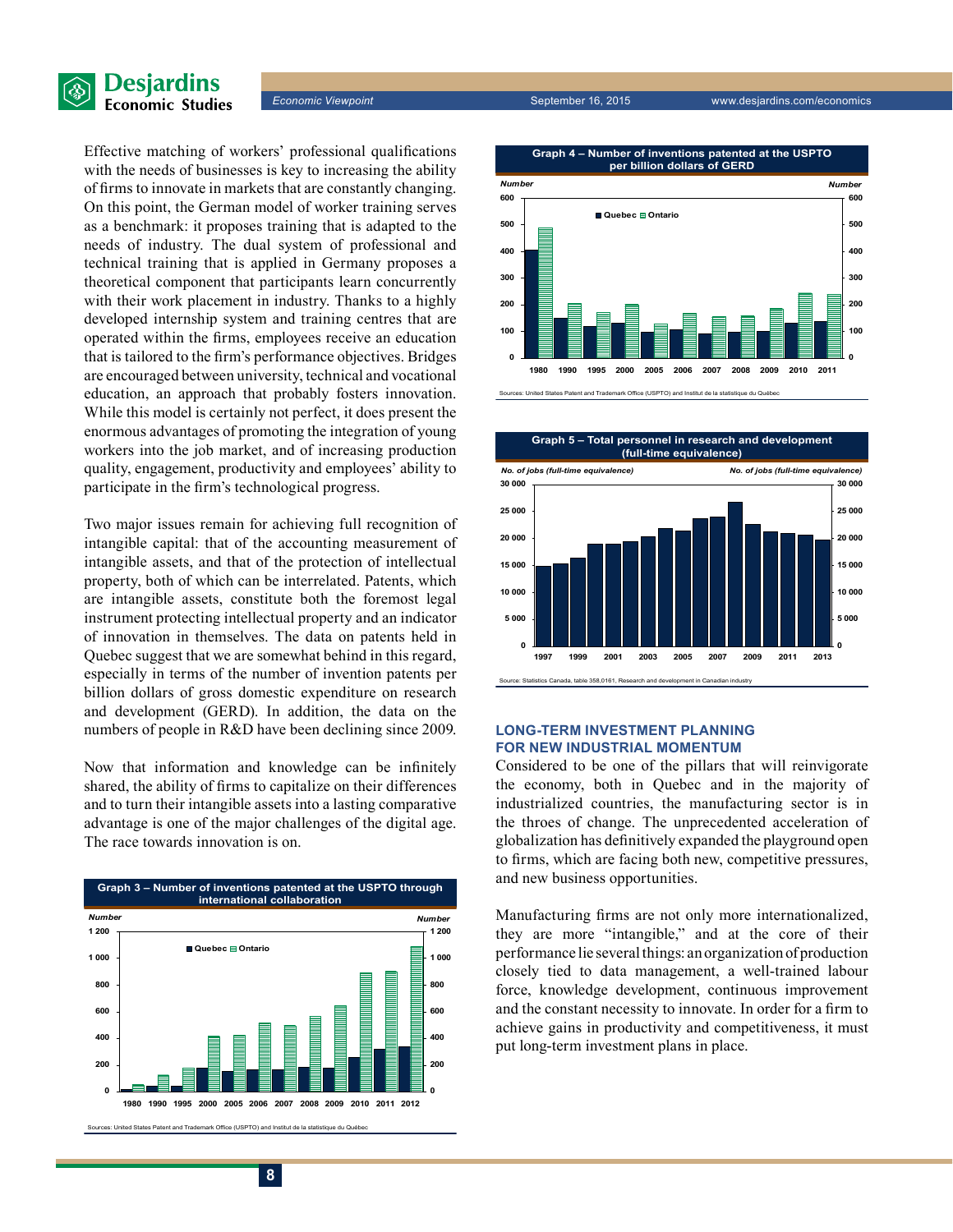



Effective matching of workers' professional qualifications with the needs of businesses is key to increasing the ability of firms to innovate in markets that are constantly changing. On this point, the German model of worker training serves as a benchmark: it proposes training that is adapted to the needs of industry. The dual system of professional and technical training that is applied in Germany proposes a theoretical component that participants learn concurrently with their work placement in industry. Thanks to a highly developed internship system and training centres that are operated within the firms, employees receive an education that is tailored to the firm's performance objectives. Bridges are encouraged between university, technical and vocational education, an approach that probably fosters innovation. While this model is certainly not perfect, it does present the enormous advantages of promoting the integration of young workers into the job market, and of increasing production quality, engagement, productivity and employees' ability to participate in the firm's technological progress.

Two major issues remain for achieving full recognition of intangible capital: that of the accounting measurement of intangible assets, and that of the protection of intellectual property, both of which can be interrelated. Patents, which are intangible assets, constitute both the foremost legal instrument protecting intellectual property and an indicator of innovation in themselves. The data on patents held in Quebec suggest that we are somewhat behind in this regard, especially in terms of the number of invention patents per billion dollars of gross domestic expenditure on research and development (GERD). In addition, the data on the numbers of people in R&D have been declining since 2009.

Now that information and knowledge can be infinitely shared, the ability of firms to capitalize on their differences and to turn their intangible assets into a lasting comparative advantage is one of the major challenges of the digital age. The race towards innovation is on.





Sources: United States Patent and Trademark Office (USPTO) and Institut de la statistique du Québec



### **Long-term investment planning for new industrial momentum**

Considered to be one of the pillars that will reinvigorate the economy, both in Quebec and in the majority of industrialized countries, the manufacturing sector is in the throes of change. The unprecedented acceleration of globalization has definitively expanded the playground open to firms, which are facing both new, competitive pressures, and new business opportunities.

Manufacturing firms are not only more internationalized, they are more "intangible," and at the core of their performance lie several things: an organization of production closely tied to data management, a well-trained labour force, knowledge development, continuous improvement and the constant necessity to innovate. In order for a firm to achieve gains in productivity and competitiveness, it must put long-term investment plans in place.